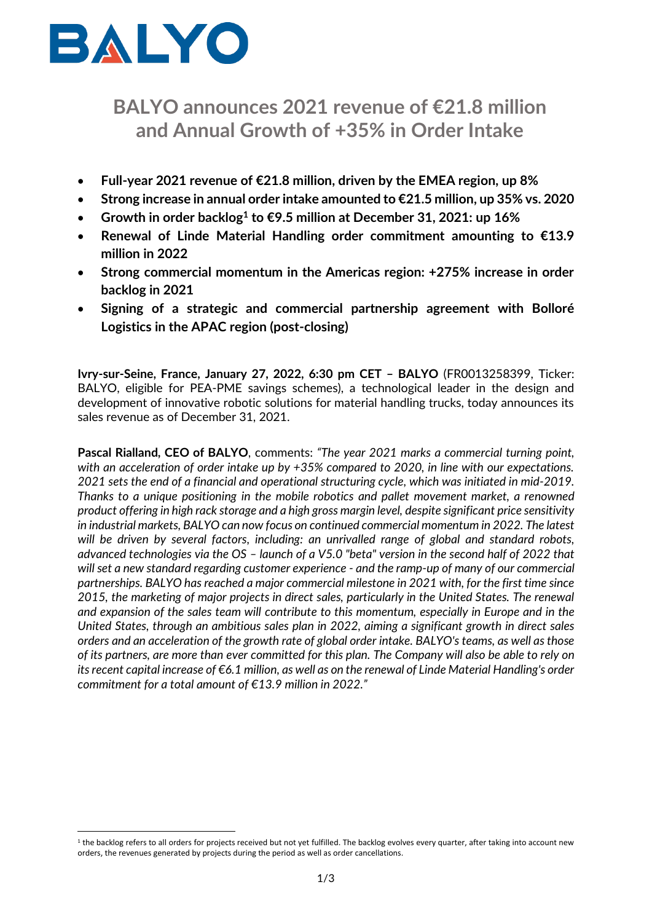

# **BALYO announces 2021 revenue of €21.8 million and Annual Growth of +35% in Order Intake**

- **Full-year 2021 revenue of €21.8 million, driven by the EMEA region, up 8%**
- **Strong increase in annual order intake amounted to €21.5 million, up 35% vs. 2020**
- **Growth in order backlog<sup>1</sup> to €9.5 million at December 31, 2021: up 16%**
- **Renewal of Linde Material Handling order commitment amounting to €13.9 million in 2022**
- **Strong commercial momentum in the Americas region: +275% increase in order backlog in 2021**
- **Signing of a strategic and commercial partnership agreement with Bolloré Logistics in the APAC region (post-closing)**

**Ivry-sur-Seine, France, January 27, 2022, 6:30 pm CET – BALYO** (FR0013258399, Ticker: BALYO, eligible for PEA-PME savings schemes), a technological leader in the design and development of innovative robotic solutions for material handling trucks, today announces its sales revenue as of December 31, 2021.

**Pascal Rialland, CEO of BALYO**, comments: *"The year 2021 marks a commercial turning point, with an acceleration of order intake up by +35% compared to 2020, in line with our expectations. 2021 sets the end of a financial and operational structuring cycle, which was initiated in mid-2019. Thanks to a unique positioning in the mobile robotics and pallet movement market, a renowned product offering in high rack storage and a high gross margin level, despite significant price sensitivity in industrial markets, BALYO can now focus on continued commercial momentum in 2022. The latest will be driven by several factors, including: an unrivalled range of global and standard robots, advanced technologies via the OS – launch of a V5.0 "beta" version in the second half of 2022 that will set a new standard regarding customer experience - and the ramp-up of many of our commercial partnerships. BALYO has reached a major commercial milestone in 2021 with, for the first time since 2015, the marketing of major projects in direct sales, particularly in the United States. The renewal and expansion of the sales team will contribute to this momentum, especially in Europe and in the United States, through an ambitious sales plan in 2022, aiming a significant growth in direct sales orders and an acceleration of the growth rate of global order intake. BALYO's teams, as well as those of its partners, are more than ever committed for this plan. The Company will also be able to rely on its recent capital increase of €6.1 million, as well as on the renewal of Linde Material Handling's order commitment for a total amount of €13.9 million in 2022."*

 $^{\rm 1}$  the backlog refers to all orders for projects received but not yet fulfilled. The backlog evolves every quarter, after taking into account new orders, the revenues generated by projects during the period as well as order cancellations.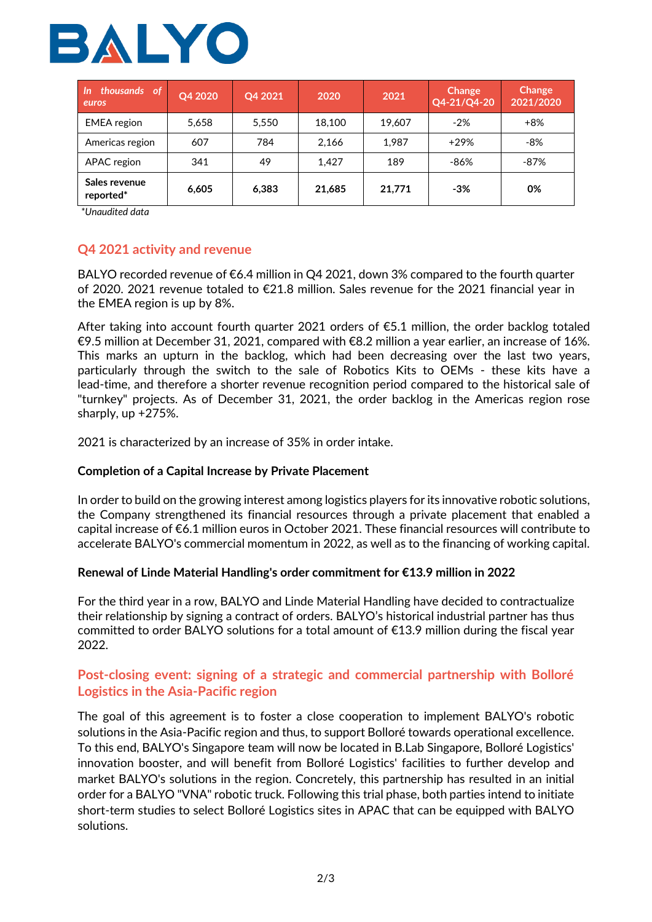

| thousands of<br>$\sqrt{n}$<br>euros | Q4 2020 | Q4 2021 | 2020   | 2021   | Change<br>Q4-21/Q4-20 | Change<br>2021/2020 |
|-------------------------------------|---------|---------|--------|--------|-----------------------|---------------------|
| <b>EMEA</b> region                  | 5.658   | 5.550   | 18.100 | 19.607 | $-2%$                 | $+8%$               |
| Americas region                     | 607     | 784     | 2,166  | 1,987  | $+29%$                | $-8%$               |
| APAC region                         | 341     | 49      | 1.427  | 189    | -86%                  | -87%                |
| Sales revenue<br>reported*          | 6,605   | 6.383   | 21,685 | 21,771 | $-3%$                 | 0%                  |

*\*Unaudited data*

## **Q4 2021 activity and revenue**

BALYO recorded revenue of €6.4 million in Q4 2021, down 3% compared to the fourth quarter of 2020. 2021 revenue totaled to €21.8 million. Sales revenue for the 2021 financial year in the EMEA region is up by 8%.

After taking into account fourth quarter 2021 orders of  $\epsilon$ 5.1 million, the order backlog totaled €9.5 million at December 31, 2021, compared with €8.2 million a year earlier, an increase of 16%. This marks an upturn in the backlog, which had been decreasing over the last two years, particularly through the switch to the sale of Robotics Kits to OEMs - these kits have a lead-time, and therefore a shorter revenue recognition period compared to the historical sale of "turnkey" projects. As of December 31, 2021, the order backlog in the Americas region rose sharply, up +275%.

2021 is characterized by an increase of 35% in order intake.

## **Completion of a Capital Increase by Private Placement**

In order to build on the growing interest among logistics players for its innovative robotic solutions, the Company strengthened its financial resources through a private placement that enabled a capital increase of €6.1 million euros in October 2021. These financial resources will contribute to accelerate BALYO's commercial momentum in 2022, as well as to the financing of working capital.

### **Renewal of Linde Material Handling's order commitment for €13.9 million in 2022**

For the third year in a row, BALYO and Linde Material Handling have decided to contractualize their relationship by signing a contract of orders. BALYO's historical industrial partner has thus committed to order BALYO solutions for a total amount of  $\epsilon$ 13.9 million during the fiscal year 2022.

# **Post-closing event: signing of a strategic and commercial partnership with Bolloré Logistics in the Asia-Pacific region**

The goal of this agreement is to foster a close cooperation to implement BALYO's robotic solutions in the Asia-Pacific region and thus, to support Bolloré towards operational excellence. To this end, BALYO's Singapore team will now be located in B.Lab Singapore, Bolloré Logistics' innovation booster, and will benefit from Bolloré Logistics' facilities to further develop and market BALYO's solutions in the region. Concretely, this partnership has resulted in an initial order for a BALYO "VNA" robotic truck. Following this trial phase, both parties intend to initiate short-term studies to select Bolloré Logistics sites in APAC that can be equipped with BALYO solutions.